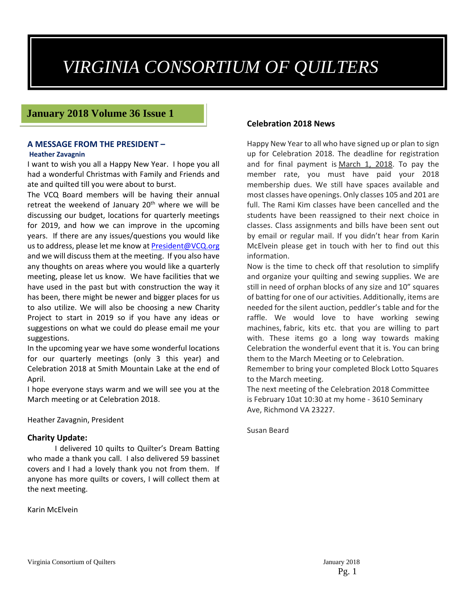# *VIRGINIA CONSORTIUM OF QUILTERS*

#### **January 2018 Volume 36 Issue 1**

#### **A MESSAGE FROM THE PRESIDENT – Heather Zavagnin**

I want to wish you all a Happy New Year. I hope you all had a wonderful Christmas with Family and Friends and ate and quilted till you were about to burst.

The VCQ Board members will be having their annual retreat the weekend of January  $20<sup>th</sup>$  where we will be discussing our budget, locations for quarterly meetings for 2019, and how we can improve in the upcoming years. If there are any issues/questions you would like us to address, please let me know at President@VCQ.org and we will discuss them at the meeting. If you also have any thoughts on areas where you would like a quarterly meeting, please let us know. We have facilities that we have used in the past but with construction the way it has been, there might be newer and bigger places for us to also utilize. We will also be choosing a new Charity Project to start in 2019 so if you have any ideas or suggestions on what we could do please email me your suggestions.

In the upcoming year we have some wonderful locations for our quarterly meetings (only 3 this year) and Celebration 2018 at Smith Mountain Lake at the end of April.

I hope everyone stays warm and we will see you at the March meeting or at Celebration 2018.

#### Heather Zavagnin, President

#### **Charity Update:**

I delivered 10 quilts to Quilter's Dream Batting who made a thank you call. I also delivered 59 bassinet covers and I had a lovely thank you not from them. If anyone has more quilts or covers, I will collect them at the next meeting.

Karin McElvein

#### **Celebration 2018 News**

Happy New Year to all who have signed up or plan to sign up for Celebration 2018. The deadline for registration and for final payment is March 1, 2018. To pay the member rate, you must have paid your 2018 membership dues. We still have spaces available and most classes have openings. Only classes 105 and 201 are full. The Rami Kim classes have been cancelled and the students have been reassigned to their next choice in classes. Class assignments and bills have been sent out by email or regular mail. If you didn't hear from Karin McElvein please get in touch with her to find out this information.

Now is the time to check off that resolution to simplify and organize your quilting and sewing supplies. We are still in need of orphan blocks of any size and 10" squares of batting for one of our activities. Additionally, items are needed for the silent auction, peddler's table and for the raffle. We would love to have working sewing machines, fabric, kits etc. that you are willing to part with. These items go a long way towards making Celebration the wonderful event that it is. You can bring them to the March Meeting or to Celebration.

Remember to bring your completed Block Lotto Squares to the March meeting.

The next meeting of the Celebration 2018 Committee is February 10at 10:30 at my home ‐ 3610 Seminary Ave, Richmond VA 23227.

Susan Beard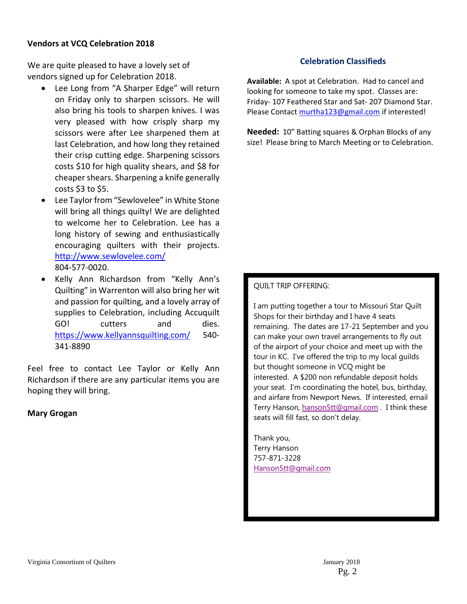#### **Vendors at VCQ Celebration 2018**

We are quite pleased to have a lovely set of vendors signed up for Celebration 2018.

- Lee Long from "A Sharper Edge" will return on Friday only to sharpen scissors. He will also bring his tools to sharpen knives. I was very pleased with how crisply sharp my scissors were after Lee sharpened them at last Celebration, and how long they retained their crisp cutting edge. Sharpening scissors costs \$10 for high quality shears, and \$8 for cheaper shears. Sharpening a knife generally costs \$3 to \$5.
- Lee Taylor from "Sewlovelee" in White Stone will bring all things quilty! We are delighted to welcome her to Celebration. Lee has a long history of sewing and enthusiastically encouraging quilters with their projects. http://www.sewlovelee.com/ 804‐577‐0020.
- Kelly Ann Richardson from "Kelly Ann's Quilting" in Warrenton will also bring her wit and passion for quilting, and a lovely array of supplies to Celebration, including Accuquilt GO! cutters and dies. https://www.kellyannsquilting.com/ 540‐ 341‐8890

Feel free to contact Lee Taylor or Kelly Ann Richardson if there are any particular items you are hoping they will bring.

#### **Mary Grogan**

#### **Celebration Classifieds**

**Available:** A spot at Celebration. Had to cancel and looking for someone to take my spot. Classes are: Friday‐ 107 Feathered Star and Sat‐ 207 Diamond Star. Please Contact murtha123@gmail.com if interested!

**Needed:** 10" Batting squares & Orphan Blocks of any size! Please bring to March Meeting or to Celebration.

#### QUILT TRIP OFFERING:

I am putting together a tour to Missouri Star Quilt Shops for their birthday and I have 4 seats remaining. The dates are 17-21 September and you can make your own travel arrangements to fly out of the airport of your choice and meet up with the tour in KC. I've offered the trip to my local guilds but thought someone in VCQ might be interested. A \$200 non refundable deposit holds your seat. I'm coordinating the hotel, bus, birthday, and airfare from Newport News. If interested, email Terry Hanson, hanson5tt@gmail.com . I think these seats will fill fast, so don't delay.

Thank you, Terry Hanson 757-871-3228 Hanson5tt@gmail.com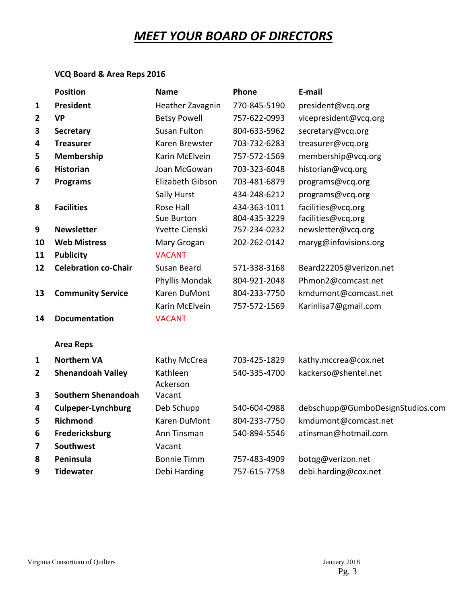# *MEET YOUR BOARD OF DIRECTORS*

#### **VCQ Board & Area Reps 2016**

|                | <b>Position</b>             | Name                 | Phone        | E-mail                           |
|----------------|-----------------------------|----------------------|--------------|----------------------------------|
| 1              | President                   | Heather Zavagnin     | 770-845-5190 | president@vcq.org                |
| $\overline{2}$ | <b>VP</b>                   | <b>Betsy Powell</b>  | 757-622-0993 | vicepresident@vcq.org            |
| 3              | <b>Secretary</b>            | <b>Susan Fulton</b>  | 804-633-5962 | secretary@vcq.org                |
| 4              | <b>Treasurer</b>            | Karen Brewster       | 703-732-6283 | treasurer@vcq.org                |
| 5              | Membership                  | Karin McElvein       | 757-572-1569 | membership@vcq.org               |
| 6              | <b>Historian</b>            | Joan McGowan         | 703-323-6048 | historian@vcq.org                |
| 7              | <b>Programs</b>             | Elizabeth Gibson     | 703-481-6879 | programs@vcq.org                 |
|                |                             | Sally Hurst          | 434-248-6212 | programs@vcq.org                 |
| 8              | <b>Facilities</b>           | Rose Hall            | 434-363-1011 | facilities@vcq.org               |
|                |                             | Sue Burton           | 804-435-3229 | facilities@vcq.org               |
| 9              | <b>Newsletter</b>           | Yvette Cienski       | 757-234-0232 | newsletter@vcq.org               |
| 10             | <b>Web Mistress</b>         | Mary Grogan          | 202-262-0142 | maryg@infovisions.org            |
| 11             | <b>Publicity</b>            | <b>VACANT</b>        |              |                                  |
| 12             | <b>Celebration co-Chair</b> | Susan Beard          | 571-338-3168 | Beard22205@verizon.net           |
|                |                             | Phyllis Mondak       | 804-921-2048 | Phmon2@comcast.net               |
| 13             | <b>Community Service</b>    | Karen DuMont         | 804-233-7750 | kmdumont@comcast.net             |
|                |                             | Karin McElvein       | 757-572-1569 | Karinlisa7@gmail.com             |
| 14             | <b>Documentation</b>        | <b>VACANT</b>        |              |                                  |
|                | <b>Area Reps</b>            |                      |              |                                  |
| $\mathbf{1}$   | <b>Northern VA</b>          | Kathy McCrea         | 703-425-1829 | kathy.mccrea@cox.net             |
| $\overline{2}$ | <b>Shenandoah Valley</b>    | Kathleen<br>Ackerson | 540-335-4700 | kackerso@shentel.net             |
| 3              | Southern Shenandoah         | Vacant               |              |                                  |
| 4              | <b>Culpeper-Lynchburg</b>   | Deb Schupp           | 540-604-0988 | debschupp@GumboDesignStudios.com |
| 5              | <b>Richmond</b>             | Karen DuMont         | 804-233-7750 | kmdumont@comcast.net             |
| 6              | Fredericksburg              | Ann Tinsman          | 540-894-5546 | atinsman@hotmail.com             |
| 7              | <b>Southwest</b>            | Vacant               |              |                                  |
| 8              | Peninsula                   | <b>Bonnie Timm</b>   | 757-483-4909 | botqg@verizon.net                |
| 9              | <b>Tidewater</b>            | Debi Harding         | 757-615-7758 | debi.harding@cox.net             |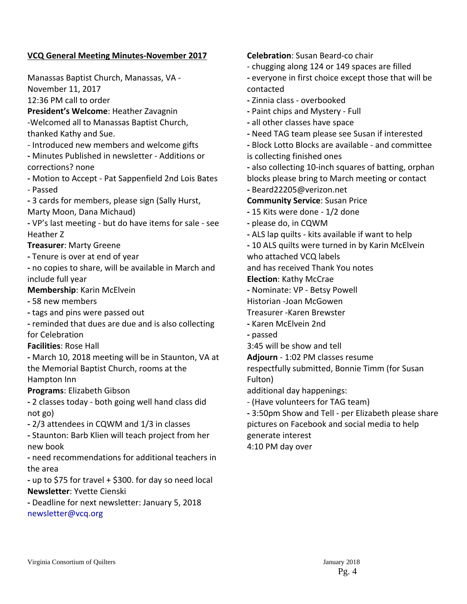#### **VCQ General Meeting Minutes‐November 2017**

Manassas Baptist Church, Manassas, VA ‐ November 11, 2017 12:36 PM call to order **President's Welcome**: Heather Zavagnin ‐Welcomed all to Manassas Baptist Church, thanked Kathy and Sue. ‐ Introduced new members and welcome gifts **‐** Minutes Published in newsletter ‐ Additions or corrections? none **‐** Motion to Accept ‐ Pat Sappenfield 2nd Lois Bates ‐ Passed **‐** 3 cards for members, please sign (Sally Hurst, Marty Moon, Dana Michaud) **‐** VP's last meeting ‐ but do have items for sale ‐ see Heather Z **Treasurer**: Marty Greene **‐** Tenure is over at end of year **‐** no copies to share, will be available in March and include full year **Membership**: Karin McElvein **‐** 58 new members **‐** tags and pins were passed out **‐** reminded that dues are due and is also collecting for Celebration **Facilities**: Rose Hall **‐** March 10, 2018 meeting will be in Staunton, VA at the Memorial Baptist Church, rooms at the Hampton Inn **Programs**: Elizabeth Gibson **‐** 2 classes today ‐ both going well hand class did not go) **‐** 2/3 attendees in CQWM and 1/3 in classes **‐** Staunton: Barb Klien will teach project from her new book **‐** need recommendations for additional teachers in

the area **‐** up to \$75 for travel + \$300. for day so need local

**Newsletter**: Yvette Cienski

**‐** Deadline for next newsletter: January 5, 2018 newsletter@vcq.org

**Celebration**: Susan Beard‐co chair

- ‐ chugging along 124 or 149 spaces are filled
- **‐** everyone in first choice except those that will be contacted
- **‐** Zinnia class ‐ overbooked
- **‐** Paint chips and Mystery ‐ Full
- **‐** all other classes have space
- **‐** Need TAG team please see Susan if interested
- **‐** Block Lotto Blocks are available ‐ and committee is collecting finished ones

**‐** also collecting 10‐inch squares of batting, orphan blocks please bring to March meeting or contact **‐** Beard22205@verizon.net

- **Community Service**: Susan Price
- **‐** 15 Kits were done ‐ 1/2 done
- **‐** please do, in CQWM
- **‐** ALS lap quilts ‐ kits available if want to help
- **‐** 10 ALS quilts were turned in by Karin McElvein
- who attached VCQ labels

and has received Thank You notes

**Election**: Kathy McCrae

- **‐** Nominate: VP ‐ Betsy Powell
- Historian ‐Joan McGowen
- Treasurer ‐Karen Brewster
- **‐** Karen McElvein 2nd
- **‐** passed
- 3:45 will be show and tell
- **Adjourn** ‐ 1:02 PM classes resume

respectfully submitted, Bonnie Timm (for Susan Fulton)

- additional day happenings:
- ‐ (Have volunteers for TAG team)

**‐** 3:50pm Show and Tell ‐ per Elizabeth please share pictures on Facebook and social media to help generate interest

4:10 PM day over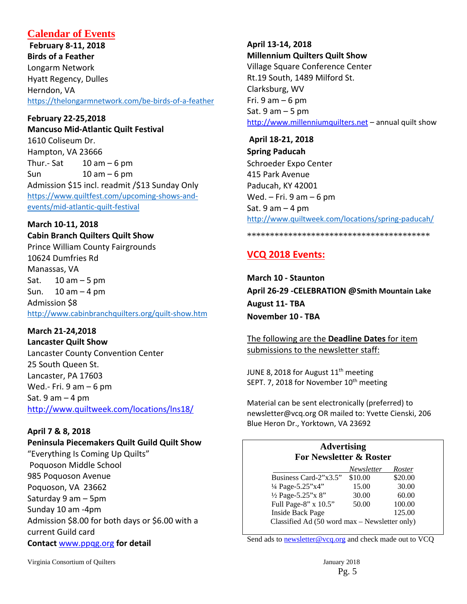### **Calendar of Events**

**February 8‐11, 2018 Birds of a Feather** Longarm Network Hyatt Regency, Dulles Herndon, VA https://thelongarmnetwork.com/be‐birds‐of‐a‐feather

**February 22‐25,2018 Mancuso Mid‐Atlantic Quilt Festival** 1610 Coliseum Dr. Hampton, VA 23666 Thur.- Sat  $10$  am  $-6$  pm Sun  $10 \text{ am} - 6 \text{ pm}$ Admission \$15 incl. readmit /\$13 Sunday Only https://www.quiltfest.com/upcoming-shows-andevents/mid‐atlantic‐quilt‐festival

#### **March 10‐11, 2018 Cabin Branch Quilters Quilt Show**

Prince William County Fairgrounds 10624 Dumfries Rd Manassas, VA Sat. 10 am – 5 pm Sun.  $10 \text{ am} - 4 \text{ pm}$ Admission \$8 http://www.cabinbranchquilters.org/quilt‐show.htm

**March 21‐24,2018 Lancaster Quilt Show** Lancaster County Convention Center 25 South Queen St. Lancaster, PA 17603 Wed.- Fri.  $9 \text{ am} - 6 \text{ pm}$ Sat.  $9$  am  $-$  4 pm

http://www.quiltweek.com/locations/lns18/

#### **April 7 & 8, 2018**

**Peninsula Piecemakers Quilt Guild Quilt Show** "Everything Is Coming Up Quilts" Poquoson Middle School 985 Poquoson Avenue Poquoson, VA 23662 Saturday 9 am – 5pm Sunday 10 am ‐4pm Admission \$8.00 for both days or \$6.00 with a current Guild card **Contact** www.ppqg.org **for detail**

**April 13‐14, 2018 Millennium Quilters Quilt Show** Village Square Conference Center Rt.19 South, 1489 Milford St. Clarksburg, WV Fri.  $9$  am  $-6$  pm Sat. 9 am – 5 pm http://www.millenniumquilters.net – annual quilt show

**April 18‐21, 2018 Spring Paducah** Schroeder Expo Center 415 Park Avenue Paducah, KY 42001 Wed.  $-$  Fri. 9 am  $-$  6 pm Sat.  $9$  am  $-$  4 pm http://www.quiltweek.com/locations/spring‐paducah/

#### \*\*\*\*\*\*\*\*\*\*\*\*\*\*\*\*\*\*\*\*\*\*\*\*\*\*\*\*\*\*\*\*\*\*\*\*\*\*\*\*

# **VCQ 2018 Events:**

**March 10 ‐ Staunton April 26‐29 ‐CELEBRATION @Smith Mountain Lake August 11‐ TBA November 10 ‐ TBA** 

The following are the **Deadline Dates** for item submissions to the newsletter staff:

JUNE 8, 2018 for August  $11<sup>th</sup>$  meeting SEPT. 7, 2018 for November 10<sup>th</sup> meeting

Material can be sent electronically (preferred) to newsletter@vcq.org OR mailed to: Yvette Cienski, 206 Blue Heron Dr., Yorktown, VA 23692

#### **Advertising For Newsletter & Roster**

|                                               | Newsletter | Roster  |  |  |
|-----------------------------------------------|------------|---------|--|--|
| Business Card-2"x3.5"                         | \$10.00    | \$20.00 |  |  |
| 1/4 Page-5.25"x4"                             | 15.00      | 30.00   |  |  |
| 1/2 Page-5.25"x 8"                            | 30.00      | 60.00   |  |  |
| Full Page-8" x 10.5"                          | 50.00      | 100.00  |  |  |
| <b>Inside Back Page</b>                       |            | 125.00  |  |  |
| Classified Ad (50 word max - Newsletter only) |            |         |  |  |

Send ads to newsletter@vcq.org and check made out to VCQ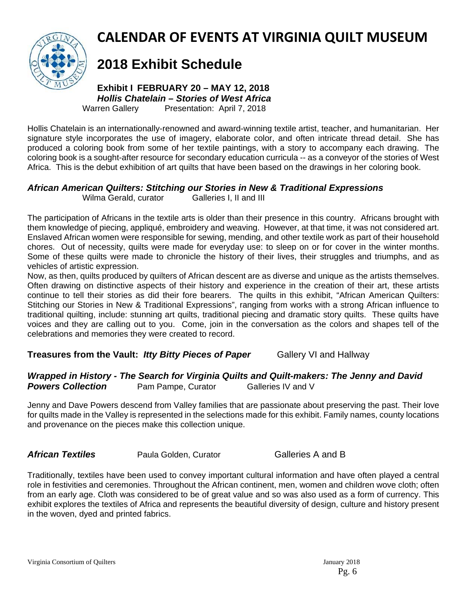

# **CALENDAR OF EVENTS AT VIRGINIA QUILT MUSEUM**

# **2018 Exhibit Schedule**

**Exhibit I FEBRUARY 20 – MAY 12, 2018**  *Hollis Chatelain – Stories of West Africa*  Warren Gallery Presentation: April 7, 2018

Hollis Chatelain is an internationally-renowned and award-winning textile artist, teacher, and humanitarian. Her signature style incorporates the use of imagery, elaborate color, and often intricate thread detail. She has produced a coloring book from some of her textile paintings, with a story to accompany each drawing. The coloring book is a sought-after resource for secondary education curricula -- as a conveyor of the stories of West Africa. This is the debut exhibition of art quilts that have been based on the drawings in her coloring book.

### *African American Quilters: Stitching our Stories in New & Traditional Expressions*

Wilma Gerald, curator Galleries I, II and III

The participation of Africans in the textile arts is older than their presence in this country. Africans brought with them knowledge of piecing, appliqué, embroidery and weaving. However, at that time, it was not considered art. Enslaved African women were responsible for sewing, mending, and other textile work as part of their household chores. Out of necessity, quilts were made for everyday use: to sleep on or for cover in the winter months. Some of these quilts were made to chronicle the history of their lives, their struggles and triumphs, and as vehicles of artistic expression.

Now, as then, quilts produced by quilters of African descent are as diverse and unique as the artists themselves. Often drawing on distinctive aspects of their history and experience in the creation of their art, these artists continue to tell their stories as did their fore bearers. The quilts in this exhibit, "African American Quilters: Stitching our Stories in New & Traditional Expressions", ranging from works with a strong African influence to traditional quilting, include: stunning art quilts, traditional piecing and dramatic story quilts. These quilts have voices and they are calling out to you. Come, join in the conversation as the colors and shapes tell of the celebrations and memories they were created to record.

### **Treasures from the Vault:** *Itty Bitty Pieces of Paper* **Gallery VI and Hallway**

#### *Wrapped in History - The Search for Virginia Quilts and Quilt-makers: The Jenny and David* **Powers Collection** Pam Pampe, Curator Galleries IV and V

Jenny and Dave Powers descend from Valley families that are passionate about preserving the past. Their love for quilts made in the Valley is represented in the selections made for this exhibit. Family names, county locations and provenance on the pieces make this collection unique.

**African Textiles Paula Golden, Curator Galleries A and B** 

Traditionally, textiles have been used to convey important cultural information and have often played a central role in festivities and ceremonies. Throughout the African continent, men, women and children wove cloth; often from an early age. Cloth was considered to be of great value and so was also used as a form of currency. This exhibit explores the textiles of Africa and represents the beautiful diversity of design, culture and history present in the woven, dyed and printed fabrics.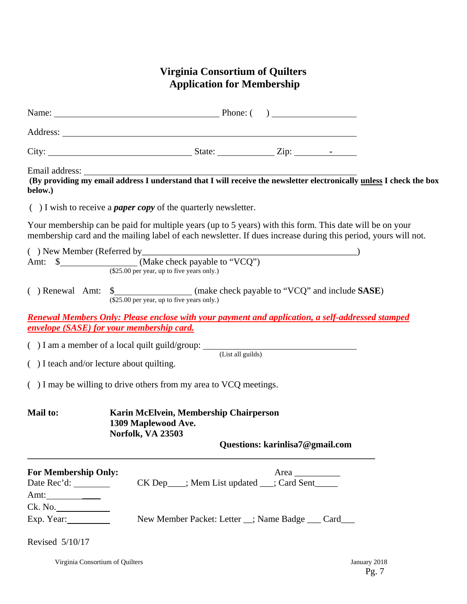## **Virginia Consortium of Quilters Application for Membership**

|                                                                                        | Name: Phone: Phone: ()                                                                                                                                                                                                        |
|----------------------------------------------------------------------------------------|-------------------------------------------------------------------------------------------------------------------------------------------------------------------------------------------------------------------------------|
|                                                                                        |                                                                                                                                                                                                                               |
|                                                                                        |                                                                                                                                                                                                                               |
| below.)                                                                                | Email address: The email address I understand that I will receive the newsletter electronically unless I check the box (By providing my email address I understand that I will receive the newsletter electronically unless I |
|                                                                                        | $( )$ I wish to receive a <i>paper copy</i> of the quarterly newsletter.                                                                                                                                                      |
|                                                                                        | Your membership can be paid for multiple years (up to 5 years) with this form. This date will be on your<br>membership card and the mailing label of each newsletter. If dues increase during this period, yours will not.    |
|                                                                                        |                                                                                                                                                                                                                               |
|                                                                                        | () New Member (Referred by $\frac{M}{\text{Make check payable to "VCQ"}}$ (Make check payable to "VCQ")                                                                                                                       |
|                                                                                        | ( ) Renewal Amt: $\frac{\$}{(\$25.00 \text{ per year, up to five years only.})}$ (make check payable to "VCQ" and include SASE)                                                                                               |
| envelope (SASE) for your membership card.                                              | <b>Renewal Members Only: Please enclose with your payment and application, a self-addressed stamped</b>                                                                                                                       |
|                                                                                        | $( ) I$ am a member of a local quilt guild/group: $($ List all guilds)                                                                                                                                                        |
| () I teach and/or lecture about quilting.                                              |                                                                                                                                                                                                                               |
|                                                                                        | () I may be willing to drive others from my area to VCQ meetings.                                                                                                                                                             |
| Mail to:                                                                               | Karin McElvein, Membership Chairperson<br>1309 Maplewood Ave.<br><b>Norfolk, VA 23503</b><br>Questions: karinlisa7@gmail.com                                                                                                  |
| <b>For Membership Only:</b><br>Amt: $\frac{1}{\sqrt{1-\frac{1}{2}} \cdot \frac{1}{2}}$ | Area $\qquad$<br>CK Dep___; Mem List updated __; Card Sent_____                                                                                                                                                               |
| Ck. No.                                                                                |                                                                                                                                                                                                                               |
| Exp. Year:                                                                             | New Member Packet: Letter _; Name Badge ___ Card ___                                                                                                                                                                          |
| Revised 5/10/17                                                                        |                                                                                                                                                                                                                               |

Virginia Consortium of Quilters January 2018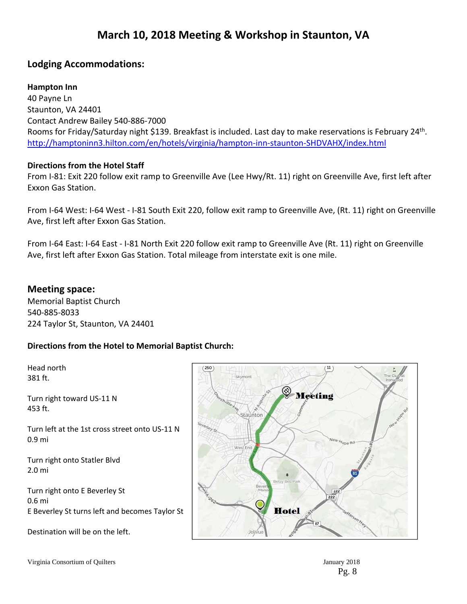# **March 10, 2018 Meeting & Workshop in Staunton, VA**

#### **Lodging Accommodations:**

#### **Hampton Inn**

40 Payne Ln Staunton, VA 24401 Contact Andrew Bailey 540‐886‐7000 Rooms for Friday/Saturday night \$139. Breakfast is included. Last day to make reservations is February 24th. http://hamptoninn3.hilton.com/en/hotels/virginia/hampton‐inn‐staunton‐SHDVAHX/index.html

#### **Directions from the Hotel Staff**

From I‐81: Exit 220 follow exit ramp to Greenville Ave (Lee Hwy/Rt. 11) right on Greenville Ave, first left after Exxon Gas Station.

From I-64 West: I-64 West - I-81 South Exit 220, follow exit ramp to Greenville Ave, (Rt. 11) right on Greenville Ave, first left after Exxon Gas Station.

From I‐64 East: I‐64 East ‐ I‐81 North Exit 220 follow exit ramp to Greenville Ave (Rt. 11) right on Greenville Ave, first left after Exxon Gas Station. Total mileage from interstate exit is one mile.

#### **Meeting space:**

Memorial Baptist Church 540‐885‐8033 224 Taylor St, Staunton, VA 24401

#### **Directions from the Hotel to Memorial Baptist Church:**

Head north 381 ft.

Turn right toward US‐11 N 453 ft.

Turn left at the 1st cross street onto US‐11 N 0.9 mi

Turn right onto Statler Blvd 2.0 mi

Turn right onto E Beverley St 0.6 mi E Beverley St turns left and becomes Taylor St

Destination will be on the left.

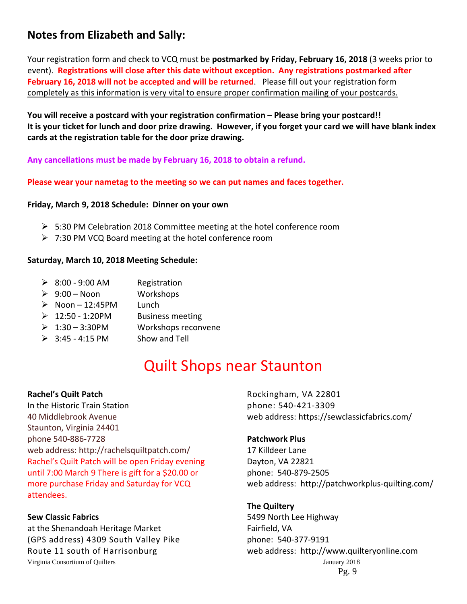# **Notes from Elizabeth and Sally:**

Your registration form and check to VCQ must be **postmarked by Friday, February 16, 2018** (3 weeks prior to event). **Registrations will close after this date without exception. Any registrations postmarked after February 16, 2018 will not be accepted and will be returned**. Please fill out your registration form completely as this information is very vital to ensure proper confirmation mailing of your postcards.

**You will receive a postcard with your registration confirmation – Please bring your postcard!!**  It is your ticket for lunch and door prize drawing. However, if you forget your card we will have blank index **cards at the registration table for the door prize drawing.**

**Any cancellations must be made by February 16, 2018 to obtain a refund.**

**Please wear your nametag to the meeting so we can put names and faces together.**

#### **Friday, March 9, 2018 Schedule: Dinner on your own**

- $\triangleright$  5:30 PM Celebration 2018 Committee meeting at the hotel conference room
- 7:30 PM VCQ Board meeting at the hotel conference room

#### **Saturday, March 10, 2018 Meeting Schedule:**

- $\geq 8:00 9:00$  AM Registration
- $\geqslant 9:00 N$ oon Workshops
- $\triangleright$  Noon 12:45PM Lunch
- $\geq 12:50 1:20$ PM Business meeting
- $\geq 1:30 3:30$ PM Workshops reconvene
- $\geq$  3:45 4:15 PM Show and Tell

# Quilt Shops near Staunton

**Rachel's Quilt Patch** In the Historic Train Station 40 Middlebrook Avenue Staunton, Virginia 24401 phone 540‐886‐7728 web address: http://rachelsquiltpatch.com/ Rachel's Quilt Patch will be open Friday evening until 7:00 March 9 There is gift for a \$20.00 or more purchase Friday and Saturday for VCQ attendees.

#### **Sew Classic Fabrics**

Virginia Consortium of Quilters January 2018 at the Shenandoah Heritage Market (GPS address) 4309 South Valley Pike Route 11 south of Harrisonburg

Rockingham, VA 22801 phone: 540‐421‐3309 web address: https://sewclassicfabrics.com/

#### **Patchwork Plus**

17 Killdeer Lane Dayton, VA 22821 phone: 540‐879‐2505 web address: http://patchworkplus‐quilting.com/

### **The Quiltery**

Pg. 9 5499 North Lee Highway Fairfield, VA phone: 540‐377‐9191 web address: http://www.quilteryonline.com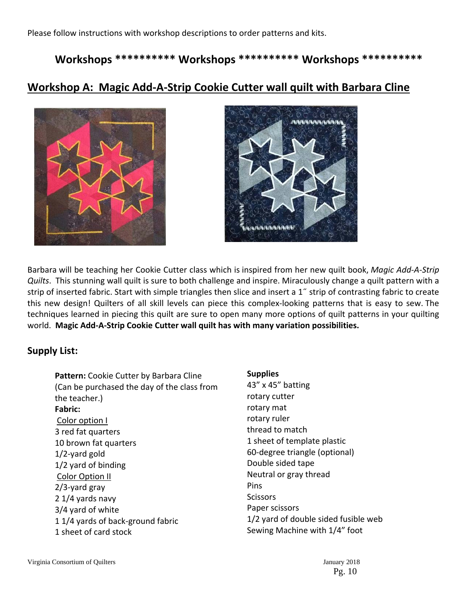Please follow instructions with workshop descriptions to order patterns and kits.

## **Workshops \*\*\*\*\*\*\*\*\*\* Workshops \*\*\*\*\*\*\*\*\*\* Workshops \*\*\*\*\*\*\*\*\*\***

# **Workshop A: Magic Add‐A‐Strip Cookie Cutter wall quilt with Barbara Cline**





Barbara will be teaching her Cookie Cutter class which is inspired from her new quilt book, *Magic Add‐A‐Strip Quilts*. This stunning wall quilt is sure to both challenge and inspire. Miraculously change a quilt pattern with a strip of inserted fabric. Start with simple triangles then slice and insert a 1˝ strip of contrasting fabric to create this new design! Quilters of all skill levels can piece this complex‐looking patterns that is easy to sew. The techniques learned in piecing this quilt are sure to open many more options of quilt patterns in your quilting world. **Magic Add‐A‐Strip Cookie Cutter wall quilt has with many variation possibilities.**

#### **Supply List:**

| Pattern: Cookie Cutter by Barbara Cline<br>(Can be purchased the day of the class from<br>the teacher.) |
|---------------------------------------------------------------------------------------------------------|
| Fabric:                                                                                                 |
| Color option I                                                                                          |
| 3 red fat quarters                                                                                      |
| 10 brown fat quarters                                                                                   |
| $1/2$ -yard gold                                                                                        |
| 1/2 yard of binding                                                                                     |
| <b>Color Option II</b>                                                                                  |
| $2/3$ -yard gray                                                                                        |
| 2 1/4 yards navy                                                                                        |
| 3/4 yard of white                                                                                       |
| 11/4 yards of back-ground fabric                                                                        |
| 1 sheet of card stock                                                                                   |

#### **Supplies**

43" x 45" batting rotary cutter rotary mat rotary ruler thread to match 1 sheet of template plastic 60‐degree triangle (optional) Double sided tape Neutral or gray thread Pins **Scissors** Paper scissors 1/2 yard of double sided fusible web Sewing Machine with 1/4" foot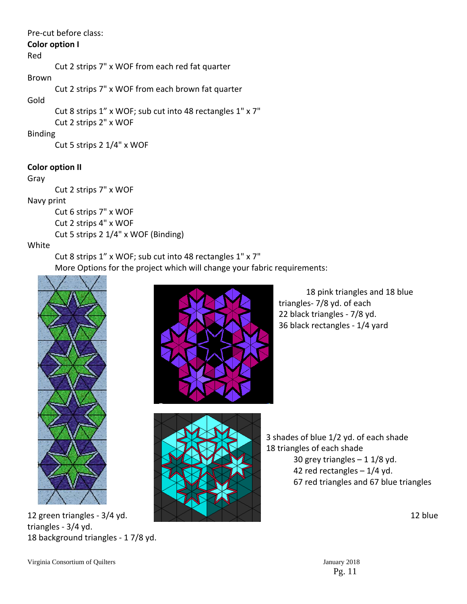#### Pre‐cut before class:

#### **Color option I**

#### Red

Cut 2 strips 7" x WOF from each red fat quarter

#### Brown

Cut 2 strips 7" x WOF from each brown fat quarter

#### Gold

Cut 8 strips 1" x WOF; sub cut into 48 rectangles 1" x 7" Cut 2 strips 2" x WOF

#### Binding

Cut 5 strips 2 1/4" x WOF

### **Color option II**

#### Gray

Cut 2 strips 7" x WOF

#### Navy print

Cut 6 strips 7" x WOF Cut 2 strips 4" x WOF Cut 5 strips 2 1/4" x WOF (Binding)

### White

Cut 8 strips 1" x WOF; sub cut into 48 rectangles 1" x 7" More Options for the project which will change your fabric requirements:



12 green triangles - 3/4 yd.  $\blacksquare$ triangles ‐ 3/4 yd. 18 background triangles ‐ 1 7/8 yd.







 3 shades of blue 1/2 yd. of each shade 18 triangles of each shade 30 grey triangles  $-11/8$  yd. 42 red rectangles – 1/4 yd. 67 red triangles and 67 blue triangles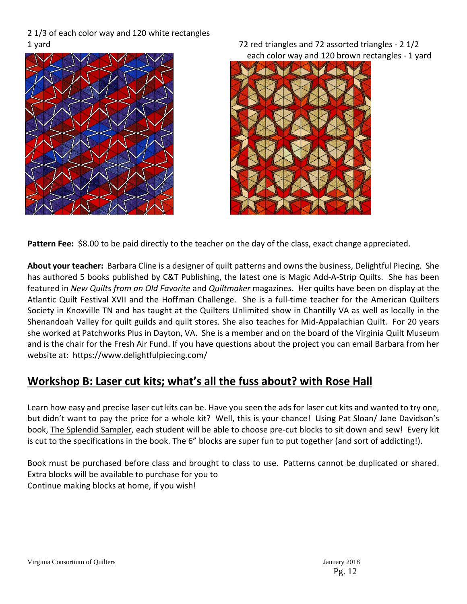#### 2 1/3 of each color way and 120 white rectangles 1 yard **1** and triangles and 72 assorted triangles - 2 1/2



each color way and 120 brown rectangles ‐ 1 yard



**Pattern Fee:** \$8.00 to be paid directly to the teacher on the day of the class, exact change appreciated.

**About your teacher:** Barbara Cline is a designer of quilt patterns and owns the business, Delightful Piecing. She has authored 5 books published by C&T Publishing, the latest one is Magic Add-A-Strip Quilts. She has been featured in *New Quilts from an Old Favorite* and *Quiltmaker* magazines. Her quilts have been on display at the Atlantic Quilt Festival XVII and the Hoffman Challenge. She is a full‐time teacher for the American Quilters Society in Knoxville TN and has taught at the Quilters Unlimited show in Chantilly VA as well as locally in the Shenandoah Valley for quilt guilds and quilt stores. She also teaches for Mid‐Appalachian Quilt. For 20 years she worked at Patchworks Plus in Dayton, VA. She is a member and on the board of the Virginia Quilt Museum and is the chair for the Fresh Air Fund. If you have questions about the project you can email Barbara from her website at: https://www.delightfulpiecing.com/

# **Workshop B: Laser cut kits; what's all the fuss about? with Rose Hall**

Learn how easy and precise laser cut kits can be. Have you seen the ads for laser cut kits and wanted to try one, but didn't want to pay the price for a whole kit? Well, this is your chance! Using Pat Sloan/ Jane Davidson's book, The Splendid Sampler, each student will be able to choose pre‐cut blocks to sit down and sew! Every kit is cut to the specifications in the book. The 6" blocks are super fun to put together (and sort of addicting!).

Book must be purchased before class and brought to class to use. Patterns cannot be duplicated or shared. Extra blocks will be available to purchase for you to Continue making blocks at home, if you wish!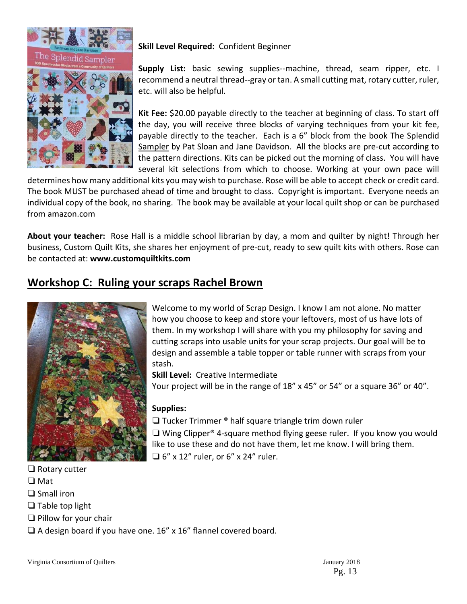

#### **Skill Level Required:** Confident Beginner

**Supply List:** basic sewing supplies--machine, thread, seam ripper, etc. I recommend a neutral thread‐‐gray or tan. A small cutting mat, rotary cutter, ruler, etc. will also be helpful.

**Kit Fee:** \$20.00 payable directly to the teacher at beginning of class. To start off the day, you will receive three blocks of varying techniques from your kit fee, payable directly to the teacher. Each is a 6" block from the book The Splendid Sampler by Pat Sloan and Jane Davidson. All the blocks are pre‐cut according to the pattern directions. Kits can be picked out the morning of class. You will have several kit selections from which to choose. Working at your own pace will

determines how many additional kits you may wish to purchase. Rose will be able to accept check or credit card. The book MUST be purchased ahead of time and brought to class. Copyright is important. Everyone needs an individual copy of the book, no sharing. The book may be available at your local quilt shop or can be purchased from amazon.com

**About your teacher:** Rose Hall is a middle school librarian by day, a mom and quilter by night! Through her business, Custom Quilt Kits, she shares her enjoyment of pre‐cut, ready to sew quilt kits with others. Rose can be contacted at: **www.customquiltkits.com**

# **Workshop C: Ruling your scraps Rachel Brown**



Welcome to my world of Scrap Design. I know I am not alone. No matter how you choose to keep and store your leftovers, most of us have lots of them. In my workshop I will share with you my philosophy for saving and cutting scraps into usable units for your scrap projects. Our goal will be to design and assemble a table topper or table runner with scraps from your stash.

**Skill Level:** Creative Intermediate

Your project will be in the range of 18" x 45" or 54" or a square 36" or 40".

#### **Supplies:**

❏ Tucker Trimmer ® half square triangle trim down ruler

❏ Wing Clipper® 4‐square method flying geese ruler. If you know you would like to use these and do not have them, let me know. I will bring them.  $\Box$  6" x 12" ruler, or 6" x 24" ruler.

❏ Rotary cutter

- ❏ Mat
- ❏ Small iron
- ❏ Table top light
- ❏ Pillow for your chair

❏ A design board if you have one. 16" x 16" flannel covered board.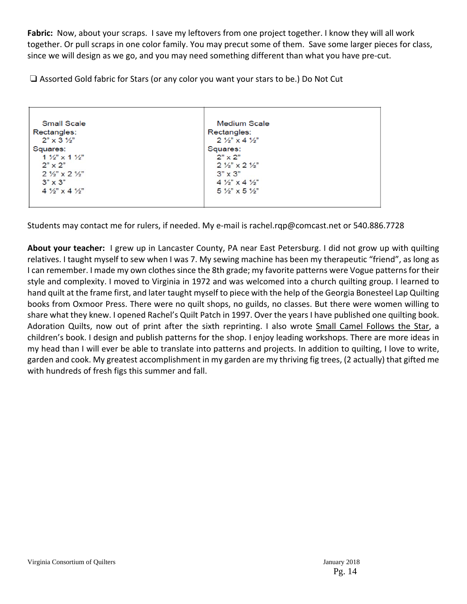Fabric: Now, about your scraps. I save my leftovers from one project together. I know they will all work together. Or pull scraps in one color family. You may precut some of them. Save some larger pieces for class, since we will design as we go, and you may need something different than what you have pre‐cut.

❏ Assorted Gold fabric for Stars (or any color you want your stars to be.) Do Not Cut

| <b>Small Scale</b>                       | <b>Medium Scale</b>                     |  |
|------------------------------------------|-----------------------------------------|--|
| Rectangles:                              | Rectangles:                             |  |
| $2" \times 3 \frac{1}{2}"$               | $2\frac{1}{2}$ x 4 $\frac{1}{2}$        |  |
| Squares:                                 | Squares:                                |  |
| $1\frac{1}{2}$ x 1 $\frac{1}{2}$         | $2" \times 2"$                          |  |
| $2" \times 2"$                           | $2\frac{1}{2}$ $\times$ 2 $\frac{1}{2}$ |  |
| $2\frac{1}{2}x$ $\times$ $2\frac{1}{2}x$ | $3" \times 3"$                          |  |
| $3" \times 3"$                           | $4\frac{1}{2}$ $\times$ 4 $\frac{1}{2}$ |  |
| $4\frac{1}{2}$ $\times$ 4 $\frac{1}{2}$  | $5\frac{1}{2}$ x 5 $\frac{1}{2}$        |  |
|                                          |                                         |  |
|                                          |                                         |  |

Students may contact me for rulers, if needed. My e‐mail is rachel.rqp@comcast.net or 540.886.7728

**About your teacher:** I grew up in Lancaster County, PA near East Petersburg. I did not grow up with quilting relatives. I taught myself to sew when I was 7. My sewing machine has been my therapeutic "friend", as long as I can remember. I made my own clothes since the 8th grade; my favorite patterns were Vogue patterns for their style and complexity. I moved to Virginia in 1972 and was welcomed into a church quilting group. I learned to hand quilt at the frame first, and later taught myself to piece with the help of the Georgia Bonesteel Lap Quilting books from Oxmoor Press. There were no quilt shops, no guilds, no classes. But there were women willing to share what they knew. I opened Rachel's Quilt Patch in 1997. Over the years I have published one quilting book. Adoration Quilts, now out of print after the sixth reprinting. I also wrote Small Camel Follows the Star, a children's book. I design and publish patterns for the shop. I enjoy leading workshops. There are more ideas in my head than I will ever be able to translate into patterns and projects. In addition to quilting, I love to write, garden and cook. My greatest accomplishment in my garden are my thriving fig trees, (2 actually) that gifted me with hundreds of fresh figs this summer and fall.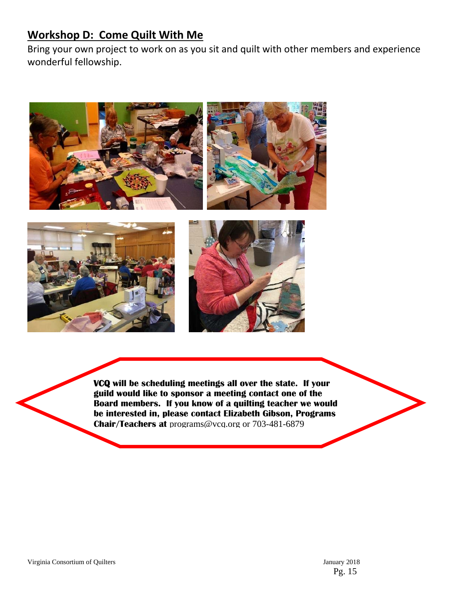# **Workshop D: Come Quilt With Me**

Bring your own project to work on as you sit and quilt with other members and experience wonderful fellowship.







**VCQ will be scheduling meetings all over the state. If your guild would like to sponsor a meeting contact one of the Board members. If you know of a quilting teacher we would be interested in, please contact Elizabeth Gibson, Programs Chair/Teachers at** programs@vcq.org or 703-481-6879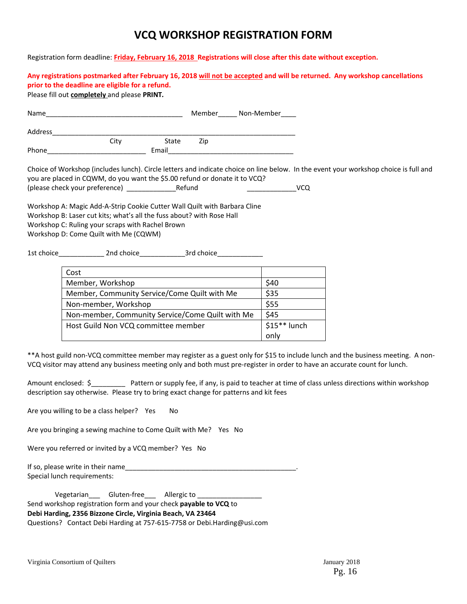# **VCQ WORKSHOP REGISTRATION FORM**

Registration form deadline: **Friday, February 16, 2018 Registrations will close after this date without exception.** 

Any registrations postmarked after February 16, 2018 will not be accepted and will be returned. Any workshop cancellations **prior to the deadline are eligible for a refund.**

Please fill out **completely** and please **PRINT***.*

| Name    |      |       |     | Member______ Non-Member_____ |
|---------|------|-------|-----|------------------------------|
| Address |      |       |     |                              |
|         | City | State | Zip |                              |
| Phone   |      | Email |     |                              |

Choice of Workshop (includes lunch). Circle letters and indicate choice on line below. In the event your workshop choice is full and you are placed in CQWM, do you want the \$5.00 refund or donate it to VCQ?

(please check your preference) \_\_\_\_\_\_\_\_\_\_\_\_\_Refund \_\_\_\_\_\_\_\_\_\_\_\_\_VCQ

Workshop A: Magic Add‐A‐Strip Cookie Cutter Wall Quilt with Barbara Cline Workshop B: Laser cut kits; what's all the fuss about? with Rose Hall Workshop C: Ruling your scraps with Rachel Brown Workshop D: Come Quilt with Me (CQWM)

1st choice\_\_\_\_\_\_\_\_\_\_\_\_ 2nd choice\_\_\_\_\_\_\_\_\_\_\_\_3rd choice\_\_\_\_\_\_\_\_\_\_\_\_

| Cost                                             |               |
|--------------------------------------------------|---------------|
| Member, Workshop                                 | \$40          |
| Member, Community Service/Come Quilt with Me     | \$35          |
| Non-member, Workshop                             | \$55          |
| Non-member, Community Service/Come Quilt with Me | \$45          |
| Host Guild Non VCQ committee member              | $$15**$ lunch |
|                                                  | only          |

\*\*A host guild non‐VCQ committee member may register as a guest only for \$15 to include lunch and the business meeting. A non‐ VCQ visitor may attend any business meeting only and both must pre‐register in order to have an accurate count for lunch.

Amount enclosed: \$\_\_\_\_\_\_\_\_\_\_\_ Pattern or supply fee, if any, is paid to teacher at time of class unless directions within workshop description say otherwise. Please try to bring exact change for patterns and kit fees

Are you willing to be a class helper? Yes No

Are you bringing a sewing machine to Come Quilt with Me? Yes No

Were you referred or invited by a VCQ member? Yes No

If so, please write in their name Special lunch requirements:

|                                                                         | Vegetarian | Gluten-free | Allergic to                                                             |  |  |
|-------------------------------------------------------------------------|------------|-------------|-------------------------------------------------------------------------|--|--|
| Send workshop registration form and your check <b>payable to VCQ</b> to |            |             |                                                                         |  |  |
| Debi Harding, 2356 Bizzone Circle, Virginia Beach, VA 23464             |            |             |                                                                         |  |  |
|                                                                         |            |             | Questions? Contact Debi Harding at 757-615-7758 or Debi.Harding@usi.com |  |  |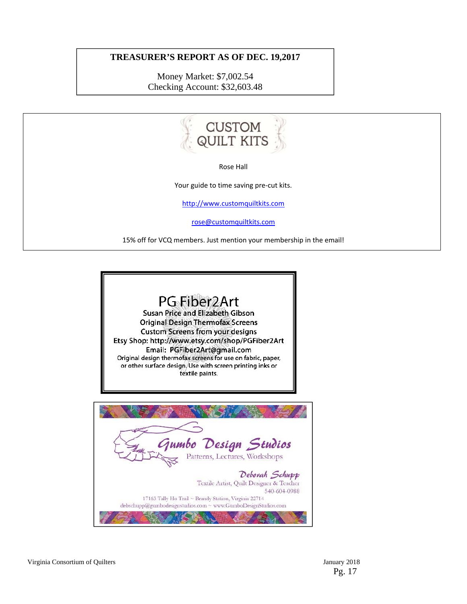#### **TREASURER'S REPORT AS OF DEC. 19,2017**

Money Market: \$7,002.54 Checking Account: \$32,603.48



Rose Hall

Your guide to time saving pre-cut kits.

http://www.customquiltkits.com

rose@customquiltkits.com

15% off for VCQ members. Just mention your membership in the email!



Virginia Consortium of Quilters January 2018